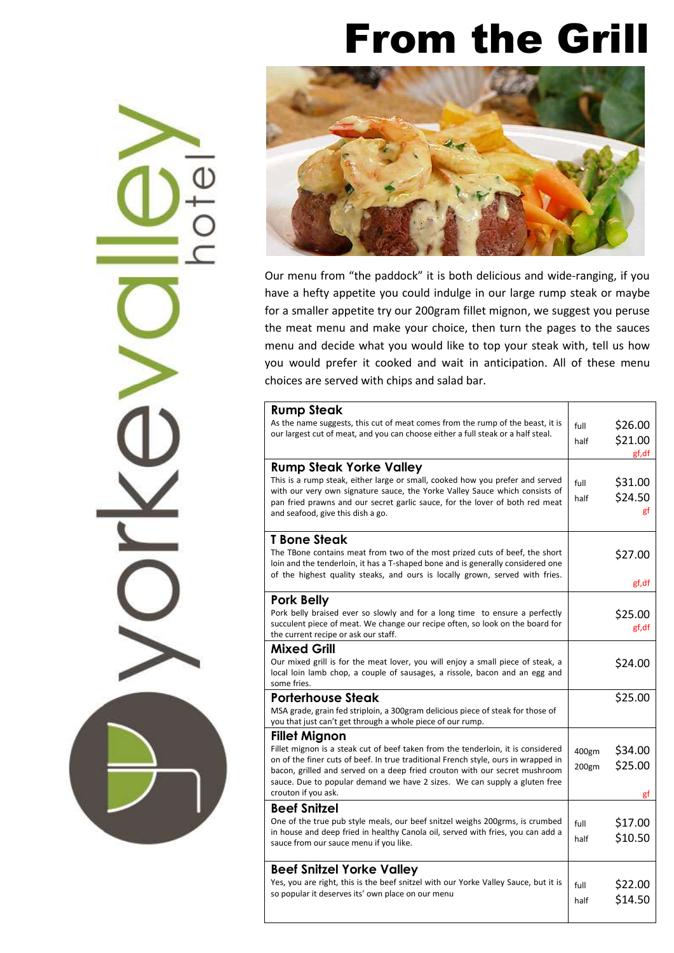#### From the Grill



Our menu from "the paddock" it is both delicious and wide-ranging, if you have a hefty appetite you could indulge in our large rump steak or maybe for a smaller appetite try our 200gram fillet mignon, we suggest you peruse the meat menu and make your choice, then turn the pages to the sauces menu and decide what you would like to top your steak with, tell us how you would prefer it cooked and wait in anticipation. All of these menu choices are served with chips and salad bar.

| <b>Rump Steak</b>                                                                                                                                              |       |         |
|----------------------------------------------------------------------------------------------------------------------------------------------------------------|-------|---------|
| As the name suggests, this cut of meat comes from the rump of the beast, it is                                                                                 |       | \$26.00 |
| our largest cut of meat, and you can choose either a full steak or a half steal.                                                                               | full  |         |
|                                                                                                                                                                | half  | \$21.00 |
|                                                                                                                                                                |       | gf, df  |
| <b>Rump Steak Yorke Valley</b>                                                                                                                                 |       |         |
| This is a rump steak, either large or small, cooked how you prefer and served                                                                                  | full  | \$31.00 |
| with our very own signature sauce, the Yorke Valley Sauce which consists of                                                                                    | half  | \$24.50 |
| pan fried prawns and our secret garlic sauce, for the lover of both red meat<br>and seafood, give this dish a go.                                              |       | gt      |
|                                                                                                                                                                |       |         |
| T Bone Steak                                                                                                                                                   |       |         |
| The TBone contains meat from two of the most prized cuts of beef, the short                                                                                    |       | \$27.00 |
| loin and the tenderloin, it has a T-shaped bone and is generally considered one                                                                                |       |         |
| of the highest quality steaks, and ours is locally grown, served with fries.                                                                                   |       |         |
|                                                                                                                                                                |       | gf,df   |
| <b>Pork Belly</b>                                                                                                                                              |       |         |
| Pork belly braised ever so slowly and for a long time to ensure a perfectly                                                                                    |       | \$25.00 |
| succulent piece of meat. We change our recipe often, so look on the board for<br>the current recipe or ask our staff.                                          |       | gf,df   |
| Mixed Grill                                                                                                                                                    |       |         |
|                                                                                                                                                                |       |         |
| Our mixed grill is for the meat lover, you will enjoy a small piece of steak, a<br>local loin lamb chop, a couple of sausages, a rissole, bacon and an egg and |       | \$24.00 |
| some fries.                                                                                                                                                    |       |         |
| <b>Porterhouse Steak</b>                                                                                                                                       |       | \$25.00 |
| MSA grade, grain fed striploin, a 300gram delicious piece of steak for those of                                                                                |       |         |
| you that just can't get through a whole piece of our rump.                                                                                                     |       |         |
| Fillet Mignon                                                                                                                                                  |       |         |
| Fillet mignon is a steak cut of beef taken from the tenderloin, it is considered                                                                               | 400gm | \$34.00 |
| on of the finer cuts of beef. In true traditional French style, ours in wrapped in                                                                             |       | \$25.00 |
| bacon, grilled and served on a deep fried crouton with our secret mushroom                                                                                     | 200gm |         |
| sauce. Due to popular demand we have 2 sizes. We can supply a gluten free                                                                                      |       |         |
| crouton if you ask.                                                                                                                                            |       | gf      |
| <b>Beef Snitzel</b>                                                                                                                                            |       |         |
| One of the true pub style meals, our beef snitzel weighs 200grms, is crumbed                                                                                   | full  | \$17.00 |
| in house and deep fried in healthy Canola oil, served with fries, you can add a<br>sauce from our sauce menu if you like.                                      | half  | \$10.50 |
|                                                                                                                                                                |       |         |
| <b>Beef Snitzel Yorke Valley</b>                                                                                                                               |       |         |
| Yes, you are right, this is the beef snitzel with our Yorke Valley Sauce, but it is                                                                            | full  | \$22.00 |
| so popular it deserves its' own place on our menu                                                                                                              |       |         |
|                                                                                                                                                                | half  | \$14.50 |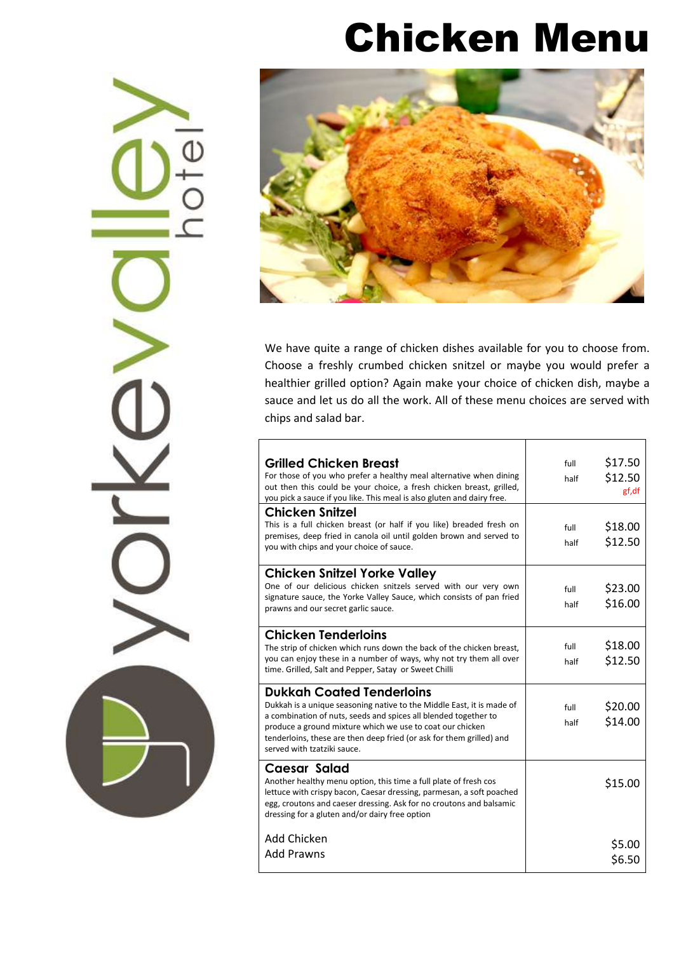#### Chicken Menu



We have quite a range of chicken dishes available for you to choose from. Choose a freshly crumbed chicken snitzel or maybe you would prefer a healthier grilled option? Again make your choice of chicken dish, maybe a sauce and let us do all the work. All of these menu choices are served with chips and salad bar.

| <b>Grilled Chicken Breast</b><br>For those of you who prefer a healthy meal alternative when dining<br>out then this could be your choice, a fresh chicken breast, grilled,<br>you pick a sauce if you like. This meal is also gluten and dairy free.                                                                                            | full<br>half | \$17.50<br>\$12.50<br>gf, df |
|--------------------------------------------------------------------------------------------------------------------------------------------------------------------------------------------------------------------------------------------------------------------------------------------------------------------------------------------------|--------------|------------------------------|
| Chicken Snitzel<br>This is a full chicken breast (or half if you like) breaded fresh on<br>premises, deep fried in canola oil until golden brown and served to<br>you with chips and your choice of sauce.                                                                                                                                       | full<br>half | \$18.00<br>\$12.50           |
| Chicken Snitzel Yorke Valley<br>One of our delicious chicken snitzels served with our very own<br>signature sauce, the Yorke Valley Sauce, which consists of pan fried<br>prawns and our secret garlic sauce.                                                                                                                                    | full<br>half | \$23.00<br>\$16.00           |
| Chicken Tenderloins<br>The strip of chicken which runs down the back of the chicken breast,<br>you can enjoy these in a number of ways, why not try them all over<br>time. Grilled, Salt and Pepper, Satay or Sweet Chilli                                                                                                                       | full<br>half | \$18.00<br>\$12.50           |
| <b>Dukkah Coated Tenderloins</b><br>Dukkah is a unique seasoning native to the Middle East, it is made of<br>a combination of nuts, seeds and spices all blended together to<br>produce a ground mixture which we use to coat our chicken<br>tenderloins, these are then deep fried (or ask for them grilled) and<br>served with tzatziki sauce. | full<br>half | \$20.00<br>\$14.00           |
| Caesar Salad<br>Another healthy menu option, this time a full plate of fresh cos<br>lettuce with crispy bacon, Caesar dressing, parmesan, a soft poached<br>egg, croutons and caeser dressing. Ask for no croutons and balsamic<br>dressing for a gluten and/or dairy free option                                                                |              | \$15.00                      |
| Add Chicken<br><b>Add Prawns</b>                                                                                                                                                                                                                                                                                                                 |              | \$5.00<br>\$6.50             |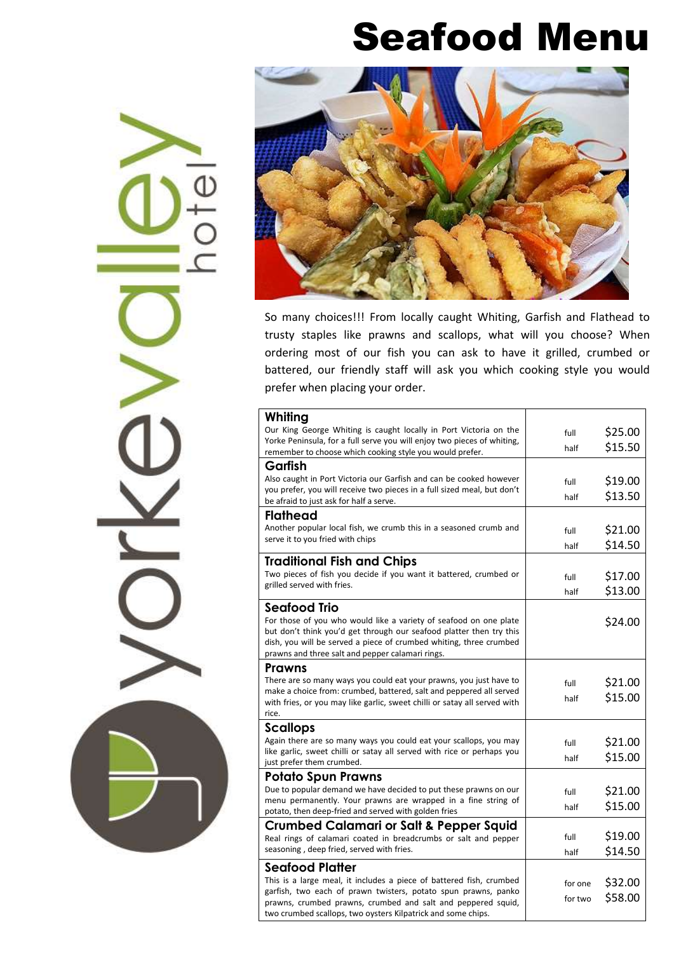#### Seafood Menu



So many choices!!! From locally caught Whiting, Garfish and Flathead to trusty staples like prawns and scallops, what will you choose? When ordering most of our fish you can ask to have it grilled, crumbed or battered, our friendly staff will ask you which cooking style you would prefer when placing your order.

| Whiting                                                                                                                                       |                    |                    |
|-----------------------------------------------------------------------------------------------------------------------------------------------|--------------------|--------------------|
| Our King George Whiting is caught locally in Port Victoria on the                                                                             | full               | \$25.00            |
| Yorke Peninsula, for a full serve you will enjoy two pieces of whiting,                                                                       | half               | \$15.50            |
| remember to choose which cooking style you would prefer.                                                                                      |                    |                    |
| Garfish                                                                                                                                       |                    |                    |
| Also caught in Port Victoria our Garfish and can be cooked however<br>you prefer, you will receive two pieces in a full sized meal, but don't | full               | \$19.00            |
| be afraid to just ask for half a serve.                                                                                                       | half               | \$13.50            |
| <b>Flathead</b>                                                                                                                               |                    |                    |
| Another popular local fish, we crumb this in a seasoned crumb and                                                                             | full               | \$21.00            |
| serve it to you fried with chips                                                                                                              | half               | \$14.50            |
| <b>Traditional Fish and Chips</b>                                                                                                             |                    |                    |
| Two pieces of fish you decide if you want it battered, crumbed or                                                                             |                    | \$17.00            |
| grilled served with fries.                                                                                                                    | full               |                    |
|                                                                                                                                               | half               | \$13.00            |
| Seafood Trio                                                                                                                                  |                    |                    |
| For those of you who would like a variety of seafood on one plate                                                                             |                    | \$24.00            |
| but don't think you'd get through our seafood platter then try this<br>dish, you will be served a piece of crumbed whiting, three crumbed     |                    |                    |
| prawns and three salt and pepper calamari rings.                                                                                              |                    |                    |
| Prawns                                                                                                                                        |                    |                    |
| There are so many ways you could eat your prawns, you just have to                                                                            | full               | \$21.00            |
| make a choice from: crumbed, battered, salt and peppered all served                                                                           | half               | \$15.00            |
| with fries, or you may like garlic, sweet chilli or satay all served with<br>rice.                                                            |                    |                    |
| <b>Scallops</b>                                                                                                                               |                    |                    |
| Again there are so many ways you could eat your scallops, you may                                                                             | full               | \$21.00            |
| like garlic, sweet chilli or satay all served with rice or perhaps you                                                                        |                    | \$15.00            |
| just prefer them crumbed.                                                                                                                     | half               |                    |
| Potato Spun Prawns                                                                                                                            |                    |                    |
|                                                                                                                                               |                    |                    |
| Due to popular demand we have decided to put these prawns on our                                                                              | full               | \$21.00            |
| menu permanently. Your prawns are wrapped in a fine string of                                                                                 | half               | \$15.00            |
| potato, then deep-fried and served with golden fries                                                                                          |                    |                    |
| Crumbed Calamari or Salt & Pepper Squid                                                                                                       | full               | \$19.00            |
| Real rings of calamari coated in breadcrumbs or salt and pepper<br>seasoning, deep fried, served with fries.                                  | half               |                    |
|                                                                                                                                               |                    | \$14.50            |
| <b>Seafood Platter</b>                                                                                                                        |                    |                    |
| This is a large meal, it includes a piece of battered fish, crumbed<br>garfish, two each of prawn twisters, potato spun prawns, panko         | for one<br>for two | \$32.00<br>\$58.00 |

two crumbed scallops, two oysters Kilpatrick and some chips.

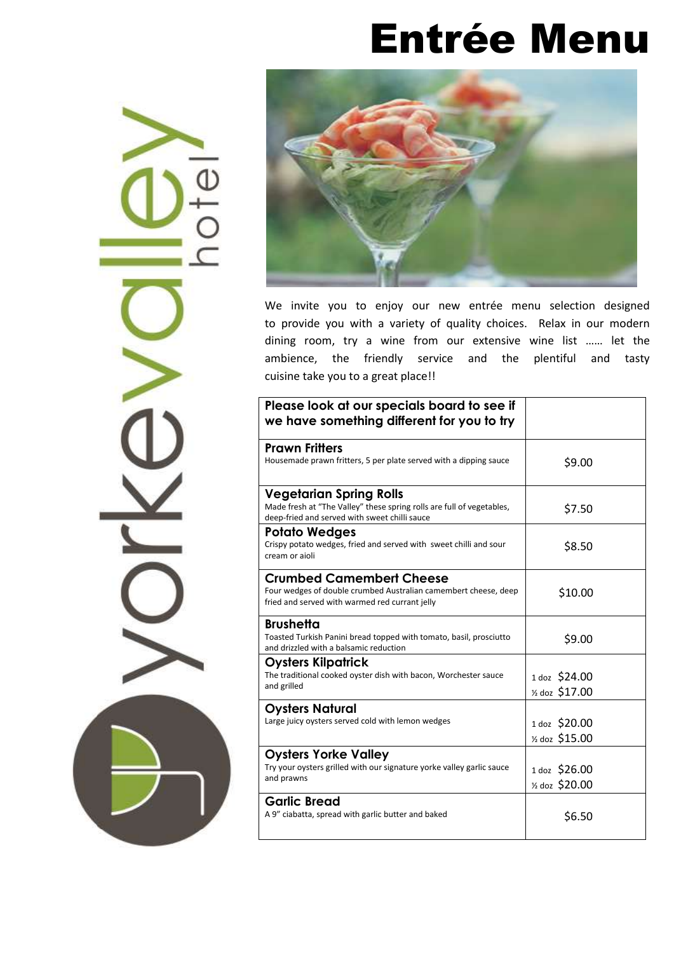### Entrée Menu





We invite you to enjoy our new entrée menu selection designed to provide you with a variety of quality choices. Relax in our modern dining room, try a wine from our extensive wine list …… let the ambience, the friendly service and the plentiful and tasty cuisine take you to a great place!!

| Please look at our specials board to see if<br>we have something different for you to try                                                                |                                             |
|----------------------------------------------------------------------------------------------------------------------------------------------------------|---------------------------------------------|
| <b>Prawn Fritters</b><br>Housemade prawn fritters, 5 per plate served with a dipping sauce                                                               | \$9.00                                      |
| <b>Vegetarian Spring Rolls</b><br>Made fresh at "The Valley" these spring rolls are full of vegetables,<br>deep-fried and served with sweet chilli sauce | \$7.50                                      |
| <b>Potato Wedges</b><br>Crispy potato wedges, fried and served with sweet chilli and sour<br>cream or aioli                                              | \$8.50                                      |
| <b>Crumbed Camembert Cheese</b><br>Four wedges of double crumbed Australian camembert cheese, deep<br>fried and served with warmed red currant jelly     | \$10.00                                     |
| <b>Brushetta</b><br>Toasted Turkish Panini bread topped with tomato, basil, prosciutto<br>and drizzled with a balsamic reduction                         | \$9.00                                      |
| Oysters Kilpatrick<br>The traditional cooked oyster dish with bacon, Worchester sauce<br>and grilled                                                     | 1 doz \$24.00<br>$\frac{1}{2}$ doz \$17.00  |
| <b>Oysters Natural</b><br>Large juicy oysters served cold with lemon wedges                                                                              | 1 doz \$20.00<br>$\frac{1}{2}$ doz \$15.00  |
| <b>Oysters Yorke Valley</b><br>Try your oysters grilled with our signature yorke valley garlic sauce<br>and prawns                                       | 1 doz \$26.00<br><sup>1/2</sup> doz \$20.00 |
| <b>Garlic Bread</b><br>A 9" ciabatta, spread with garlic butter and baked                                                                                | \$6.50                                      |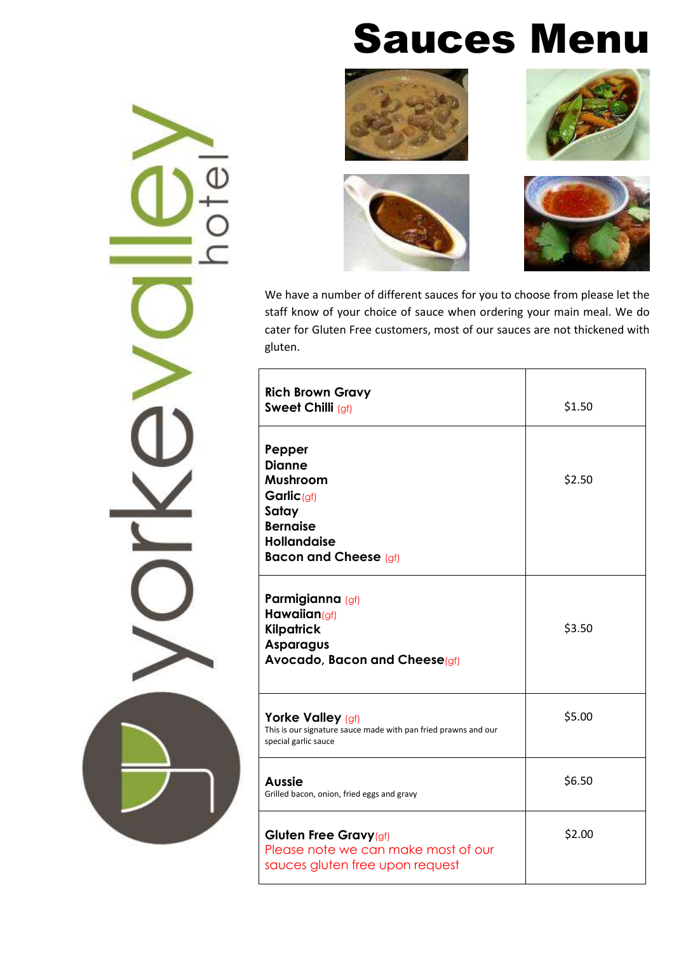## Sauces Menu









We have a number of different sauces for you to choose from please let the staff know of your choice of sauce when ordering your main meal. We do cater for Gluten Free customers, most of our sauces are not thickened with gluten.

| <b>Rich Brown Gravy</b><br>Sweet Chilli (gf)                                                                                                    | \$1.50 |
|-------------------------------------------------------------------------------------------------------------------------------------------------|--------|
| Pepper<br><b>Dianne</b><br>Mushroom<br>Garlic <sub>(gf)</sub><br>Satay<br><b>Bernaise</b><br><b>Hollandaise</b><br><b>Bacon and Cheese (gf)</b> | \$2.50 |
| Parmigianna (gf)<br>Hawaiian( $qf$ )<br><b>Kilpatrick</b><br><b>Asparagus</b><br>Avocado, Bacon and Cheese(gf)                                  | \$3.50 |
| Yorke Valley (gf)<br>This is our signature sauce made with pan fried prawns and our<br>special garlic sauce                                     | \$5.00 |
| <b>Aussie</b><br>Grilled bacon, onion, fried eggs and gravy                                                                                     | \$6.50 |
| Gluten Free Gravy(gf)<br>Please note we can make most of our<br>sauces gluten free upon request                                                 | \$2.00 |

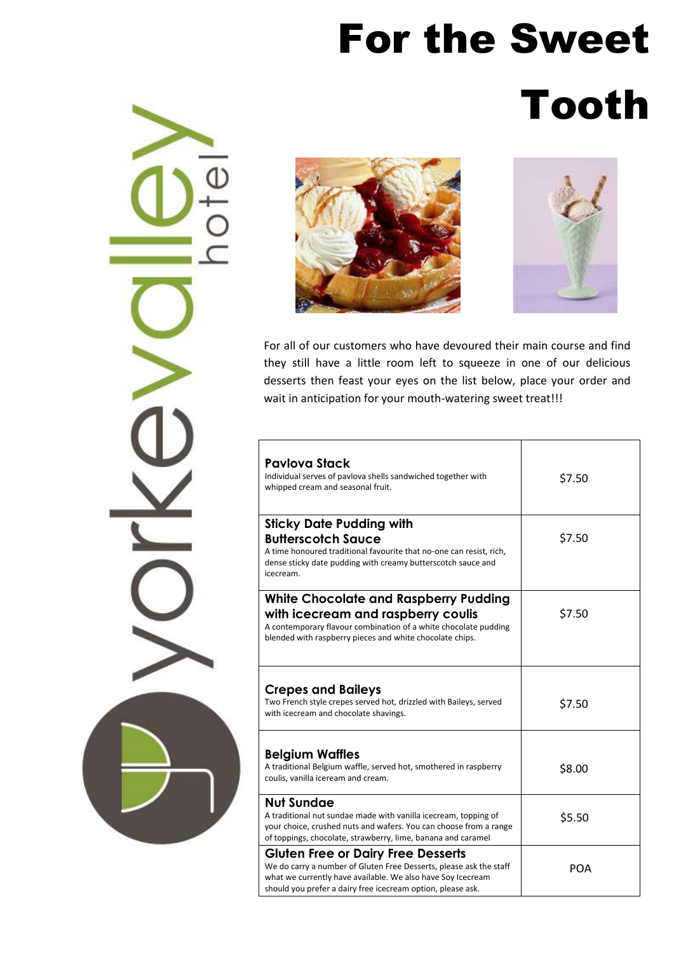# For the Sweet

# Tooth







For all of our customers who have devoured their main course and find they still have a little room left to squeeze in one of our delicious desserts then feast your eyes on the list below, place your order and wait in anticipation for your mouth-watering sweet treat!!!

| <b>Pavlova Stack</b><br>Individual serves of pavlova shells sandwiched together with<br>whipped cream and seasonal fruit.                                                                                                                     | \$7.50     |
|-----------------------------------------------------------------------------------------------------------------------------------------------------------------------------------------------------------------------------------------------|------------|
| <b>Sticky Date Pudding with</b><br><b>Butterscotch Sauce</b><br>A time honoured traditional favourite that no-one can resist, rich,<br>dense sticky date pudding with creamy butterscotch sauce and<br>icecream.                              | \$7.50     |
| <b>White Chocolate and Raspberry Pudding</b><br>with icecream and raspberry coulis<br>A contemporary flavour combination of a white chocolate pudding<br>blended with raspberry pieces and white chocolate chips.                             | \$7.50     |
| <b>Crepes and Baileys</b><br>Two French style crepes served hot, drizzled with Baileys, served<br>with icecream and chocolate shavings.                                                                                                       | \$7.50     |
| <b>Belgium Waffles</b><br>A traditional Belgium waffle, served hot, smothered in raspberry<br>coulis, vanilla iceream and cream.                                                                                                              | \$8.00     |
| <b>Nut Sundae</b><br>A traditional nut sundae made with vanilla icecream, topping of<br>your choice, crushed nuts and wafers. You can choose from a range<br>of toppings, chocolate, strawberry, lime, banana and caramel                     | \$5.50     |
| <b>Gluten Free or Dairy Free Desserts</b><br>We do carry a number of Gluten Free Desserts, please ask the staff<br>what we currently have available. We also have Soy Icecream<br>should you prefer a dairy free icecream option, please ask. | <b>POA</b> |